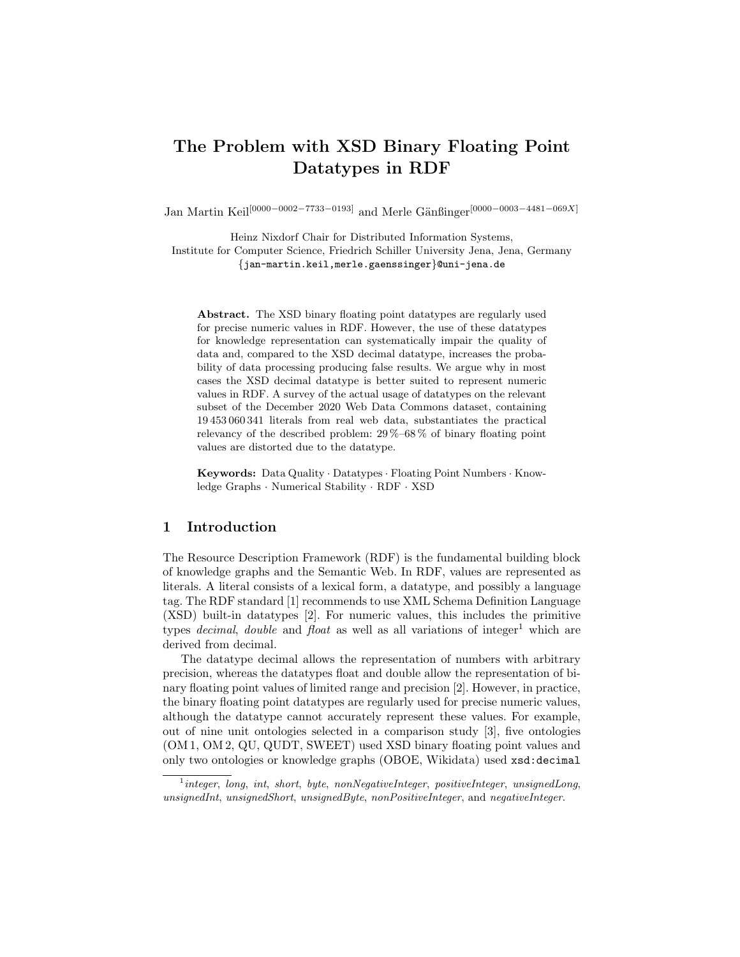# <span id="page-0-0"></span>The Problem with XSD Binary Floating Point Datatypes in RDF

Jan Martin Keil<sup>[0000–0002–7733–0193]</sup> and Merle Gänßinger<sup>[0000–0003–4481–069X]</sup>

Heinz Nixdorf Chair for Distributed Information Systems, Institute for Computer Science, Friedrich Schiller University Jena, Jena, Germany {jan-martin.keil,merle.gaenssinger}@uni-jena.de

Abstract. The XSD binary floating point datatypes are regularly used for precise numeric values in RDF. However, the use of these datatypes for knowledge representation can systematically impair the quality of data and, compared to the XSD decimal datatype, increases the probability of data processing producing false results. We argue why in most cases the XSD decimal datatype is better suited to represent numeric values in RDF. A survey of the actual usage of datatypes on the relevant subset of the December 2020 Web Data Commons dataset, containing 19 453 060 341 literals from real web data, substantiates the practical relevancy of the described problem: 29 %–68 % of binary floating point values are distorted due to the datatype.

Keywords: Data Quality · Datatypes · Floating Point Numbers · Knowledge Graphs · Numerical Stability · RDF · XSD

# 1 Introduction

The Resource Description Framework (RDF) is the fundamental building block of knowledge graphs and the Semantic Web. In RDF, values are represented as literals. A literal consists of a lexical form, a datatype, and possibly a language tag. The RDF standard [\[1\]](#page-15-0) recommends to use XML Schema Definition Language (XSD) built-in datatypes [\[2\]](#page-15-1). For numeric values, this includes the primitive types *decimal*, *double* and *float* as well as all variations of integer<sup>1</sup> which are derived from decimal.

The datatype decimal allows the representation of numbers with arbitrary precision, whereas the datatypes float and double allow the representation of binary floating point values of limited range and precision [\[2\]](#page-15-1). However, in practice, the binary floating point datatypes are regularly used for precise numeric values, although the datatype cannot accurately represent these values. For example, out of nine unit ontologies selected in a comparison study [\[3\]](#page-15-2), five ontologies (OM 1, OM 2, QU, QUDT, SWEET) used XSD binary floating point values and only two ontologies or knowledge graphs (OBOE, Wikidata) used xsd:decimal

 $1$  integer, long, int, short, byte, nonNegativeInteger, positiveInteger, unsignedLong, unsignedInt, unsignedShort, unsignedByte, nonPositiveInteger, and negativeInteger.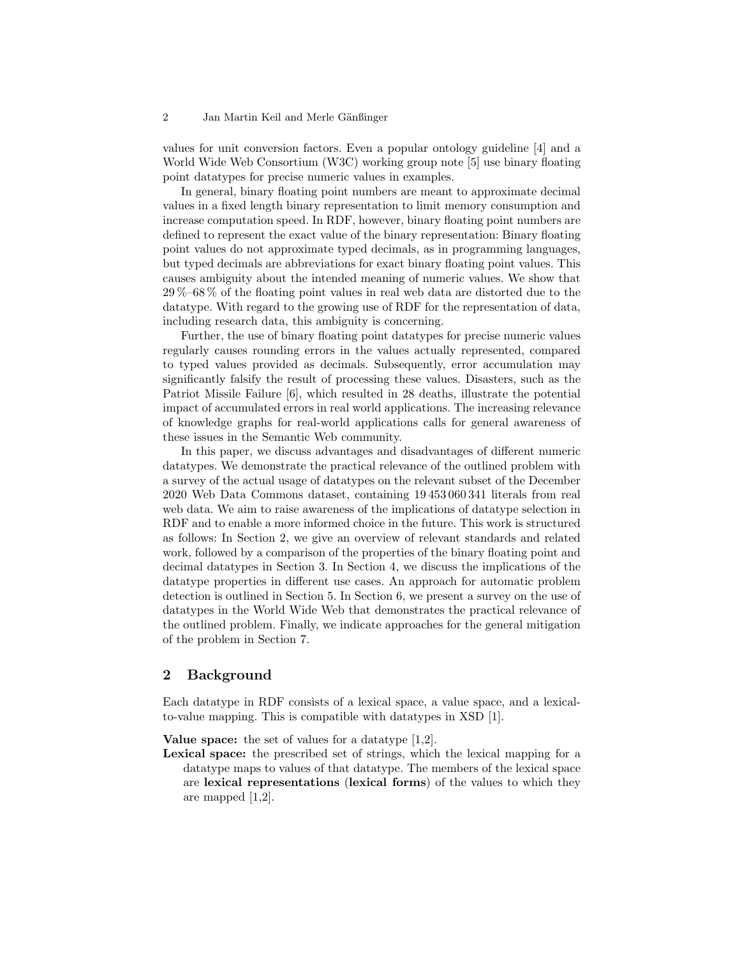values for unit conversion factors. Even a popular ontology guideline [\[4\]](#page-15-3) and a World Wide Web Consortium (W3C) working group note [\[5\]](#page-15-4) use binary floating point datatypes for precise numeric values in examples.

In general, binary floating point numbers are meant to approximate decimal values in a fixed length binary representation to limit memory consumption and increase computation speed. In RDF, however, binary floating point numbers are defined to represent the exact value of the binary representation: Binary floating point values do not approximate typed decimals, as in programming languages, but typed decimals are abbreviations for exact binary floating point values. This causes ambiguity about the intended meaning of numeric values. We show that 29 %–68 % of the floating point values in real web data are distorted due to the datatype. With regard to the growing use of RDF for the representation of data, including research data, this ambiguity is concerning.

Further, the use of binary floating point datatypes for precise numeric values regularly causes rounding errors in the values actually represented, compared to typed values provided as decimals. Subsequently, error accumulation may significantly falsify the result of processing these values. Disasters, such as the Patriot Missile Failure [\[6\]](#page-15-5), which resulted in 28 deaths, illustrate the potential impact of accumulated errors in real world applications. The increasing relevance of knowledge graphs for real-world applications calls for general awareness of these issues in the Semantic Web community.

In this paper, we discuss advantages and disadvantages of different numeric datatypes. We demonstrate the practical relevance of the outlined problem with a survey of the actual usage of datatypes on the relevant subset of the December 2020 Web Data Commons dataset, containing 19 453 060 341 literals from real web data. We aim to raise awareness of the implications of datatype selection in RDF and to enable a more informed choice in the future. This work is structured as follows: In [Section 2,](#page-1-0) we give an overview of relevant standards and related work, followed by a comparison of the properties of the binary floating point and decimal datatypes in [Section 3.](#page-4-0) In [Section 4,](#page-6-0) we discuss the implications of the datatype properties in different use cases. An approach for automatic problem detection is outlined in [Section 5.](#page-8-0) In [Section 6,](#page-8-1) we present a survey on the use of datatypes in the World Wide Web that demonstrates the practical relevance of the outlined problem. Finally, we indicate approaches for the general mitigation of the problem in [Section 7.](#page-13-0)

## <span id="page-1-0"></span>2 Background

Each datatype in RDF consists of a lexical space, a value space, and a lexicalto-value mapping. This is compatible with datatypes in XSD [\[1\]](#page-15-0).

Value space: the set of values for a datatype [\[1](#page-15-0)[,2\]](#page-15-1).

Lexical space: the prescribed set of strings, which the lexical mapping for a datatype maps to values of that datatype. The members of the lexical space are lexical representations (lexical forms) of the values to which they are mapped [\[1,](#page-15-0)[2\]](#page-15-1).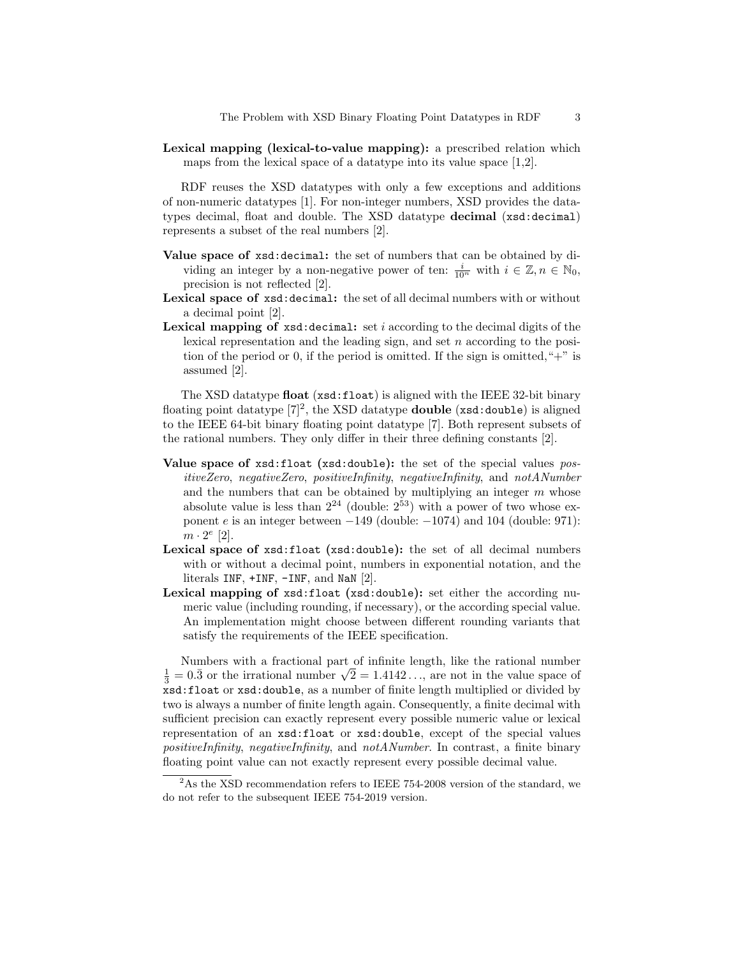Lexical mapping (lexical-to-value mapping): a prescribed relation which maps from the lexical space of a datatype into its value space [\[1](#page-15-0)[,2\]](#page-15-1).

RDF reuses the XSD datatypes with only a few exceptions and additions of non-numeric datatypes [\[1\]](#page-15-0). For non-integer numbers, XSD provides the datatypes decimal, float and double. The XSD datatype decimal (xsd:decimal) represents a subset of the real numbers [\[2\]](#page-15-1).

- Value space of xsd:decimal: the set of numbers that can be obtained by dividing an integer by a non-negative power of ten:  $\frac{i}{10^n}$  with  $i \in \mathbb{Z}, n \in \mathbb{N}_0$ , precision is not reflected [\[2\]](#page-15-1).
- Lexical space of xsd:decimal: the set of all decimal numbers with or without a decimal point [\[2\]](#page-15-1).
- **Lexical mapping of xsd:decimal:** set i according to the decimal digits of the lexical representation and the leading sign, and set  $n$  according to the position of the period or 0, if the period is omitted. If the sign is omitted,"+" is assumed [\[2\]](#page-15-1).

The XSD datatype **float** (xsd:float) is aligned with the IEEE 32-bit binary floating point datatype  $[7]^2$  $[7]^2$  $[7]^2$ , the XSD datatype **double** (xsd:double) is aligned to the IEEE 64-bit binary floating point datatype [\[7\]](#page-15-6). Both represent subsets of the rational numbers. They only differ in their three defining constants [\[2\]](#page-15-1).

- Value space of xsd:float (xsd:double): the set of the special values positiveZero, negativeZero, positiveInfinity, negativeInfinity, and notANumber and the numbers that can be obtained by multiplying an integer  $m$  whose absolute value is less than  $2^{24}$  (double:  $2^{53}$ ) with a power of two whose exponent e is an integer between  $-149$  (double:  $-1074$ ) and 104 (double: 971):  $m \cdot 2^e$  [\[2\]](#page-15-1).
- Lexical space of xsd:float (xsd:double): the set of all decimal numbers with or without a decimal point, numbers in exponential notation, and the literals INF, +INF, -INF, and NaN [\[2\]](#page-15-1).
- Lexical mapping of xsd:float (xsd:double): set either the according numeric value (including rounding, if necessary), or the according special value. An implementation might choose between different rounding variants that satisfy the requirements of the IEEE specification.

Numbers with a fractional part of infinite length, like the rational number Numbers with a fractional part of infinite length, like the rational number  $\sqrt{2} = 1.4142...$ , are not in the value space of xsd:float or xsd:double, as a number of finite length multiplied or divided by two is always a number of finite length again. Consequently, a finite decimal with sufficient precision can exactly represent every possible numeric value or lexical representation of an xsd:float or xsd:double, except of the special values positiveInfinity, negativeInfinity, and notANumber. In contrast, a finite binary floating point value can not exactly represent every possible decimal value.

 $^{2}$ As the XSD recommendation refers to IEEE 754-2008 version of the standard, we do not refer to the subsequent IEEE 754-2019 version.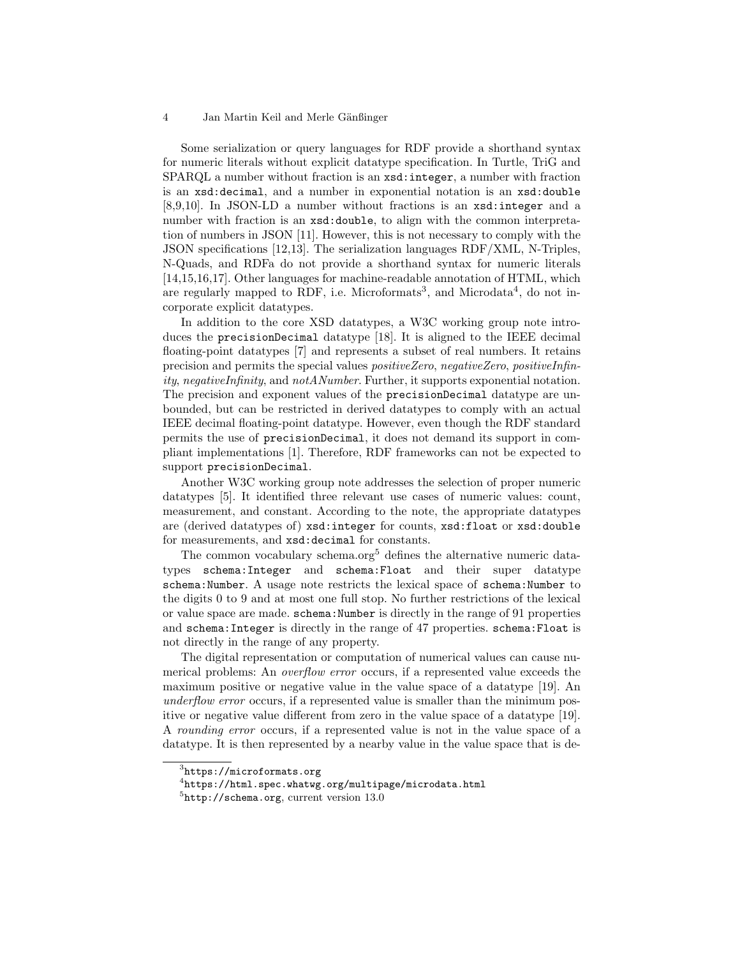Some serialization or query languages for RDF provide a shorthand syntax for numeric literals without explicit datatype specification. In Turtle, TriG and SPARQL a number without fraction is an xsd:integer, a number with fraction is an xsd:decimal, and a number in exponential notation is an xsd:double [\[8,](#page-15-7)[9](#page-15-8)[,10\]](#page-15-9). In JSON-LD a number without fractions is an xsd:integer and a number with fraction is an  $xsd:double$ , to align with the common interpretation of numbers in JSON [\[11\]](#page-15-10). However, this is not necessary to comply with the JSON specifications [\[12,](#page-15-11)[13\]](#page-15-12). The serialization languages RDF/XML, N-Triples, N-Quads, and RDFa do not provide a shorthand syntax for numeric literals [\[14](#page-15-13)[,15](#page-15-14)[,16,](#page-15-15)[17\]](#page-16-0). Other languages for machine-readable annotation of HTML, which are regularly mapped to RDF, i.e. Microformats<sup>[3](#page-0-0)</sup>, and Microdata<sup>[4](#page-0-0)</sup>, do not incorporate explicit datatypes.

In addition to the core XSD datatypes, a W3C working group note introduces the precisionDecimal datatype [\[18\]](#page-16-1). It is aligned to the IEEE decimal floating-point datatypes [\[7\]](#page-15-6) and represents a subset of real numbers. It retains precision and permits the special values *positiveZero*, negativeZero, positiveInfinity, negativeInfinity, and notANumber. Further, it supports exponential notation. The precision and exponent values of the precisionDecimal datatype are unbounded, but can be restricted in derived datatypes to comply with an actual IEEE decimal floating-point datatype. However, even though the RDF standard permits the use of precisionDecimal, it does not demand its support in compliant implementations [\[1\]](#page-15-0). Therefore, RDF frameworks can not be expected to support precisionDecimal.

Another W3C working group note addresses the selection of proper numeric datatypes [\[5\]](#page-15-4). It identified three relevant use cases of numeric values: count, measurement, and constant. According to the note, the appropriate datatypes are (derived datatypes of) xsd:integer for counts, xsd:float or xsd:double for measurements, and xsd:decimal for constants.

The common vocabulary schema.org<sup>[5](#page-0-0)</sup> defines the alternative numeric datatypes schema:Integer and schema:Float and their super datatype schema:Number. A usage note restricts the lexical space of schema:Number to the digits 0 to 9 and at most one full stop. No further restrictions of the lexical or value space are made. schema:Number is directly in the range of 91 properties and schema:Integer is directly in the range of 47 properties. schema:Float is not directly in the range of any property.

The digital representation or computation of numerical values can cause numerical problems: An overflow error occurs, if a represented value exceeds the maximum positive or negative value in the value space of a datatype [\[19\]](#page-16-2). An underflow error occurs, if a represented value is smaller than the minimum positive or negative value different from zero in the value space of a datatype [\[19\]](#page-16-2). A rounding error occurs, if a represented value is not in the value space of a datatype. It is then represented by a nearby value in the value space that is de-

 ${}^{3}$ <https://microformats.org>

 $^4$ <https://html.spec.whatwg.org/multipage/microdata.html>

<sup>5</sup> <http://schema.org>, current version 13.0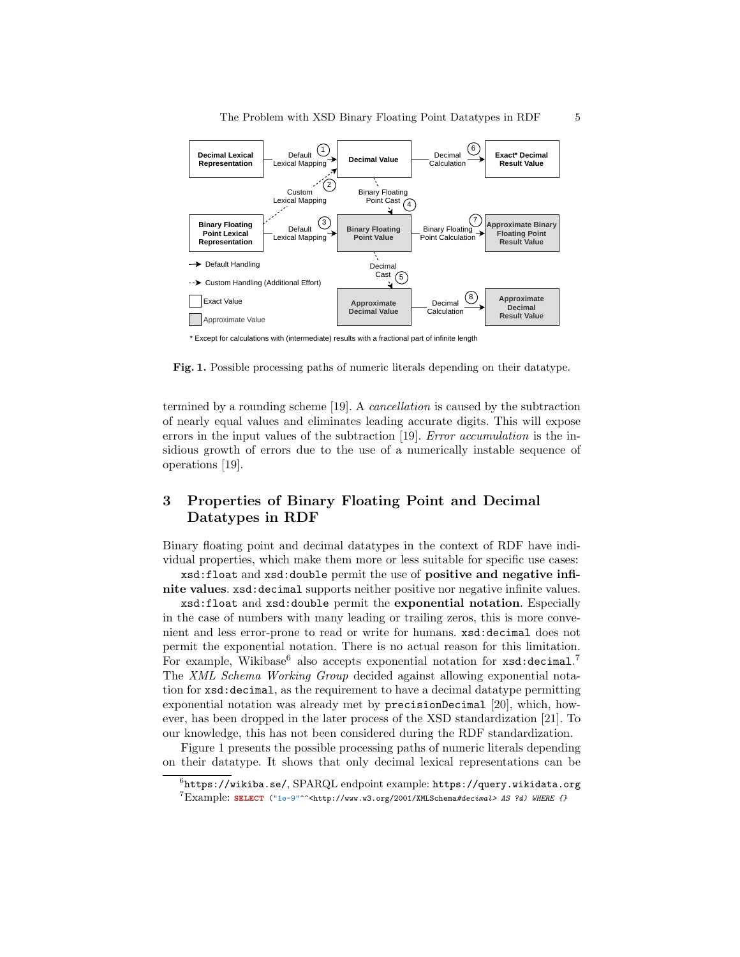

<span id="page-4-1"></span>\* Except for calculations with (intermediate) results with a fractional part of infinite length

Fig. 1. Possible processing paths of numeric literals depending on their datatype.

termined by a rounding scheme [\[19\]](#page-16-2). A cancellation is caused by the subtraction of nearly equal values and eliminates leading accurate digits. This will expose errors in the input values of the subtraction [\[19\]](#page-16-2). Error accumulation is the insidious growth of errors due to the use of a numerically instable sequence of operations [\[19\]](#page-16-2).

# <span id="page-4-0"></span>3 Properties of Binary Floating Point and Decimal Datatypes in RDF

Binary floating point and decimal datatypes in the context of RDF have individual properties, which make them more or less suitable for specific use cases:

xsd:float and xsd:double permit the use of positive and negative infinite values. xsd:decimal supports neither positive nor negative infinite values.

xsd:float and xsd:double permit the exponential notation. Especially in the case of numbers with many leading or trailing zeros, this is more convenient and less error-prone to read or write for humans. xsd:decimal does not permit the exponential notation. There is no actual reason for this limitation. For example, Wikibase<sup>[6](#page-0-0)</sup> also accepts exponential notation for  $\texttt{xsd:decimal}$ .<sup>[7](#page-0-0)</sup> The XML Schema Working Group decided against allowing exponential notation for xsd:decimal, as the requirement to have a decimal datatype permitting exponential notation was already met by precisionDecimal [\[20\]](#page-16-3), which, however, has been dropped in the later process of the XSD standardization [\[21\]](#page-16-4). To our knowledge, this has not been considered during the RDF standardization.

[Figure 1](#page-4-1) presents the possible processing paths of numeric literals depending on their datatype. It shows that only decimal lexical representations can be

 $^6$ <https://wikiba.se/>,  $\operatorname{SPARQL}$  endpoint example: <code><https://query.wikidata.org></code>  ${}^{7}$ Example: SELECT [\("1e-9"^^<http://www.w3.org/2001/XMLSchema](https://query.wikidata.org/#SELECT%20%28%221e-9%22%5E%5E%3Chttp://www.w3.org/2001/XMLSchema%23decimal%3E%20AS%20%3Fd%29%20WHERE%20%7B%7D)#decimal> AS ?d) WHERE {}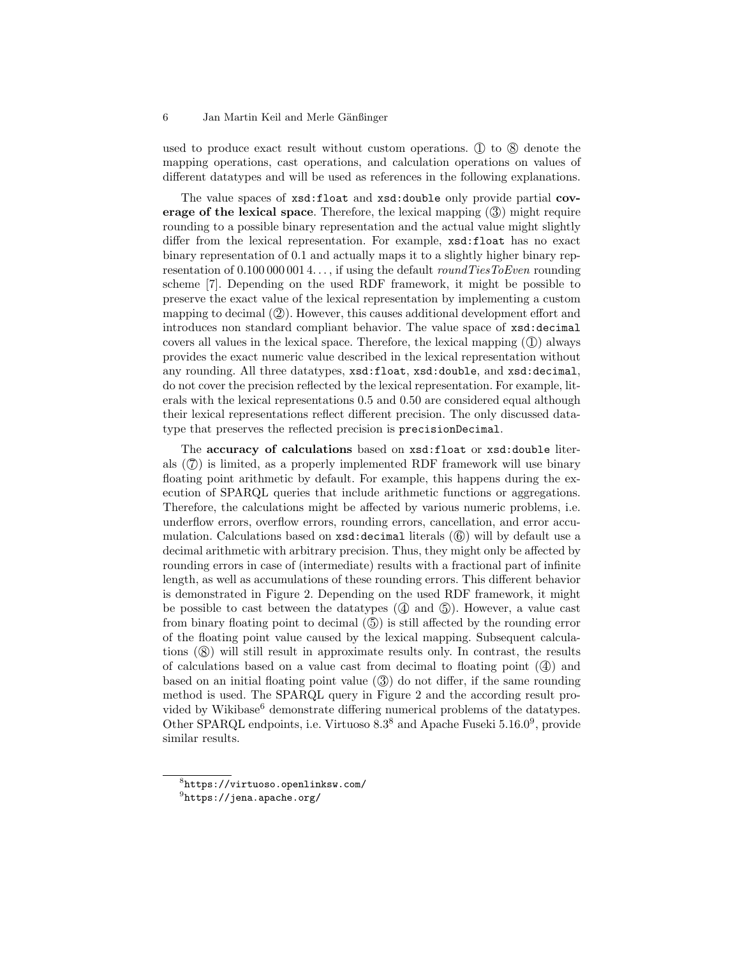used to produce exact result without custom operations.  $\mathbb{D}$  to  $\mathbb{S}$  denote the mapping operations, cast operations, and calculation operations on values of different datatypes and will be used as references in the following explanations.

The value spaces of xsd:float and xsd:double only provide partial coverage of the lexical space. Therefore, the lexical mapping  $(3)$  might require rounding to a possible binary representation and the actual value might slightly differ from the lexical representation. For example, xsd:float has no exact binary representation of 0.1 and actually maps it to a slightly higher binary representation of  $0.1000000014...$ , if using the default *roundTiesToEven* rounding scheme [\[7\]](#page-15-6). Depending on the used RDF framework, it might be possible to preserve the exact value of the lexical representation by implementing a custom mapping to decimal  $(\mathcal{Q})$ . However, this causes additional development effort and introduces non standard compliant behavior. The value space of xsd:decimal covers all values in the lexical space. Therefore, the lexical mapping  $(1)$  always provides the exact numeric value described in the lexical representation without any rounding. All three datatypes, xsd:float, xsd:double, and xsd:decimal, do not cover the precision reflected by the lexical representation. For example, literals with the lexical representations 0.5 and 0.50 are considered equal although their lexical representations reflect different precision. The only discussed datatype that preserves the reflected precision is precisionDecimal.

The accuracy of calculations based on xsd:float or xsd:double literals  $(\mathcal{D})$  is limited, as a properly implemented RDF framework will use binary floating point arithmetic by default. For example, this happens during the execution of SPARQL queries that include arithmetic functions or aggregations. Therefore, the calculations might be affected by various numeric problems, i.e. underflow errors, overflow errors, rounding errors, cancellation, and error accumulation. Calculations based on  $xsd:decimal$  literals  $(6)$  will by default use a decimal arithmetic with arbitrary precision. Thus, they might only be affected by rounding errors in case of (intermediate) results with a fractional part of infinite length, as well as accumulations of these rounding errors. This different behavior is demonstrated in [Figure 2.](#page-6-1) Depending on the used RDF framework, it might be possible to cast between the datatypes  $(\mathcal{A})$  and  $\mathcal{B}$ ). However, a value cast from binary floating point to decimal  $(\mathbb{G})$  is still affected by the rounding error of the floating point value caused by the lexical mapping. Subsequent calculations  $(\circledS)$  will still result in approximate results only. In contrast, the results of calculations based on a value cast from decimal to floating point  $(\mathcal{A})$  and based on an initial floating point value  $(3)$  do not differ, if the same rounding method is used. The SPARQL query in [Figure 2](#page-6-1) and the according result provided by Wikibase $^6$  $^6$  demonstrate differing numerical problems of the datatypes. Other SPARQL endpoints, i.e. Virtuoso [8](#page-0-0).3<sup>8</sup> and Apache Fuseki 5.16.0<sup>[9](#page-0-0)</sup>, provide similar results.

 ${}^{8}$ <https://virtuoso.openlinksw.com/>

 $^9$ <https://jena.apache.org/>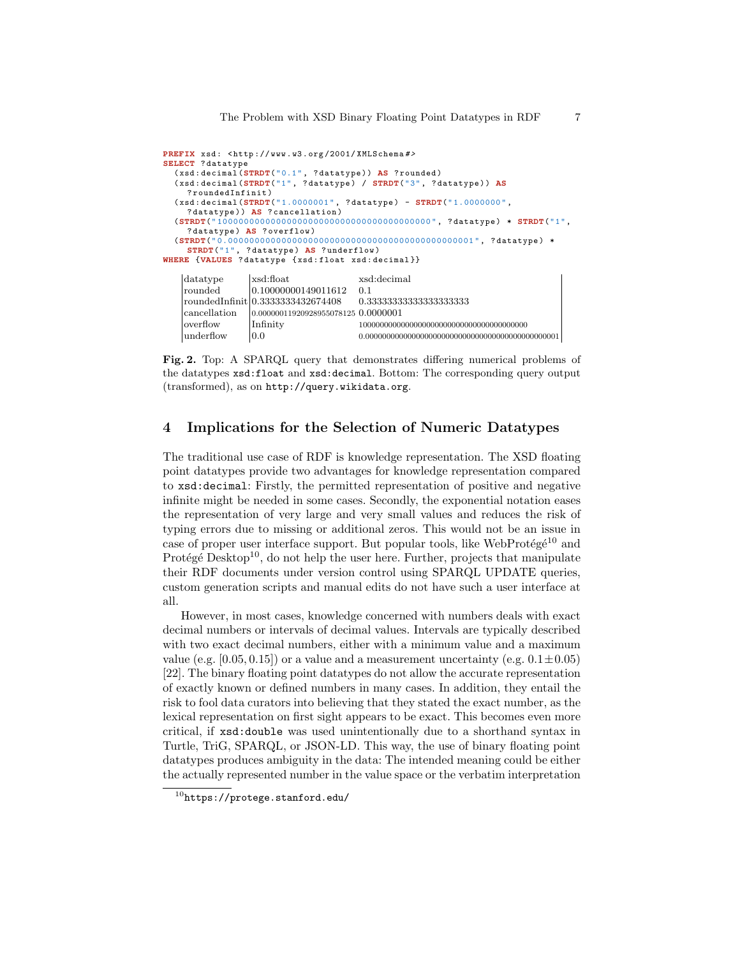```
PREFIX xsd : < http :// www . w3 . org /2001/ XMLSchema # >
SELECT ? datatype
  ( xsd : decimal (STRDT(" 0.1 ", ? datatype )) AS ? rounded )
  ( xsd : decimal (STRDT("1", ? datatype ) / STRDT("3", ? datatype )) AS
     ? roundedInfinit )
  ( xsd : decimal (STRDT(" 1.0000001 ", ? datatype ) - STRDT(" 1.0000000 ",
     ? datatype )) AS ? cancellation )
  (STRDT(" 1000000000000000000000000000000000000000 ", ? datatype ) * STRDT("1",
     ? datatype ) AS ? overflow )
  (STRDT(" 0.0000000000000000000000000000000000000000000001 ", ? datatype ) *
STRDT("1", ? datatype ) AS ? underflow )
WHERE {VALUES ? datatype { xsd : float xsd : decimal }}
    datatype xsd:float xsd:decimal
    rounded 0.10000000149011612 0.1
    roundedInfinit 0.3333333432674408 0.33333333333333333333
    cancellation 0.00000011920928955078125 0.0000001
    overflow Infinity 1000000000000000000000000000000000000000
```
<span id="page-6-1"></span>Fig. 2. Top: A SPARQL query that demonstrates differing numerical problems of the datatypes xsd:float and xsd:decimal. Bottom: The corresponding query output (transformed), as on [http://query.wikidata.org](https://query.wikidata.org/#PREFIX%20xsd%3A%20%3Chttp://www.w3.org/2001/XMLSchema%23%3E%0ASELECT%20%3Fdatatype%0A%20%20%28xsd%3Adecimal%28STRDT%28%220.1%22%2C%20%3Fdatatype%29%29%20AS%20%3Frounded%29%0A%20%20%28xsd%3Adecimal%28STRDT%28%221%22%2C%20%3Fdatatype%29%20%2F%20STRDT%28%223%22%2C%20%3Fdatatype%29%29%20AS%20%3FroundedInfinit%29%0A%20%20%28xsd%3Adecimal%28STRDT%28%221.0000001%22%2C%20%3Fdatatype%29%20-%20STRDT%28%221.0000000%22%2C%20%3Fdatatype%29%29%20AS%20%3Fcancellation%29%0A%20%20%28STRDT%28%221000000000000000000000000000000000000000%22%2C%20%3Fdatatype%29%20%2a%20STRDT%28%221%22%2C%20%3Fdatatype%29%20AS%20%3Foverflow%29%0A%20%20%28STRDT%28%220.0000000000000000000000000000000000000000000001%22%2C%20%3Fdatatype%29%20%2a%20STRDT%28%221%22%2C%20%3Fdatatype%29%20AS%20%3Funderflow%29%0D%0AWHERE%20%7BVALUES%20%3Fdatatype%20%7Bxsd%3Afloat%20xsd%3Adecimal%7D%7D).

underflow 0.0 0.0000000000000000000000000000000000000000000001

# <span id="page-6-0"></span>4 Implications for the Selection of Numeric Datatypes

The traditional use case of RDF is knowledge representation. The XSD floating point datatypes provide two advantages for knowledge representation compared to xsd:decimal: Firstly, the permitted representation of positive and negative infinite might be needed in some cases. Secondly, the exponential notation eases the representation of very large and very small values and reduces the risk of typing errors due to missing or additional zeros. This would not be an issue in case of proper user interface support. But popular tools, like WebProtégé<sup>[10](#page-0-0)</sup> and Protégé Desktop<sup>[10](#page-0-0)</sup>, do not help the user here. Further, projects that manipulate their RDF documents under version control using SPARQL UPDATE queries, custom generation scripts and manual edits do not have such a user interface at all.

However, in most cases, knowledge concerned with numbers deals with exact decimal numbers or intervals of decimal values. Intervals are typically described with two exact decimal numbers, either with a minimum value and a maximum value (e.g.  $[0.05, 0.15]$ ) or a value and a measurement uncertainty (e.g.  $0.1 \pm 0.05$ ) [\[22\]](#page-16-5). The binary floating point datatypes do not allow the accurate representation of exactly known or defined numbers in many cases. In addition, they entail the risk to fool data curators into believing that they stated the exact number, as the lexical representation on first sight appears to be exact. This becomes even more critical, if xsd:double was used unintentionally due to a shorthand syntax in Turtle, TriG, SPARQL, or JSON-LD. This way, the use of binary floating point datatypes produces ambiguity in the data: The intended meaning could be either the actually represented number in the value space or the verbatim interpretation

 $10$ <https://protege.stanford.edu/>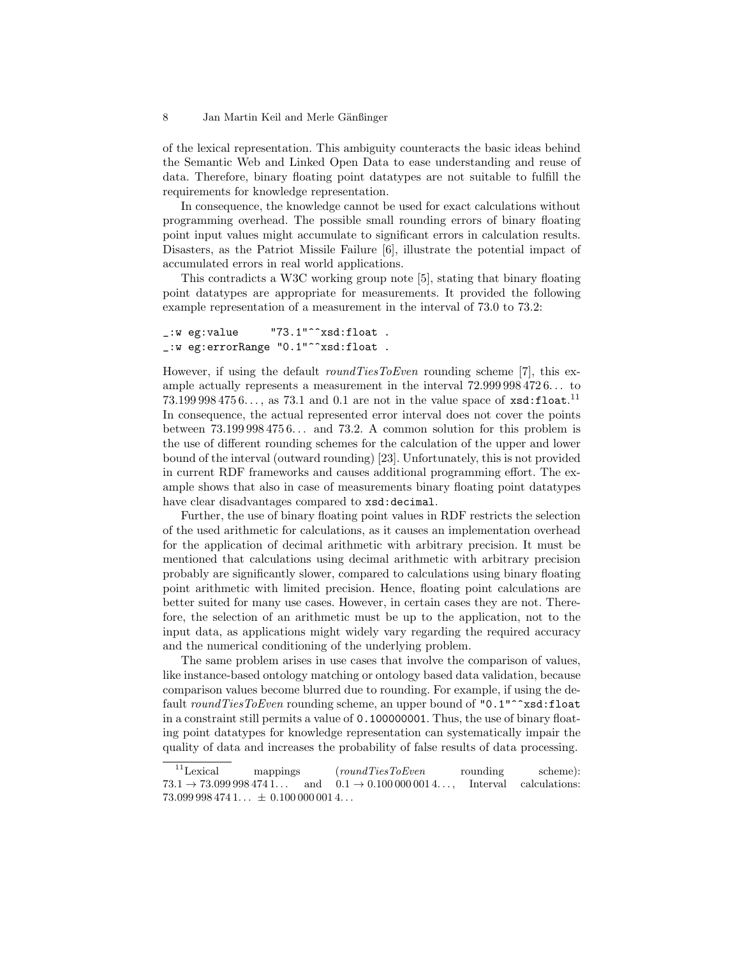of the lexical representation. This ambiguity counteracts the basic ideas behind the Semantic Web and Linked Open Data to ease understanding and reuse of data. Therefore, binary floating point datatypes are not suitable to fulfill the requirements for knowledge representation.

In consequence, the knowledge cannot be used for exact calculations without programming overhead. The possible small rounding errors of binary floating point input values might accumulate to significant errors in calculation results. Disasters, as the Patriot Missile Failure [\[6\]](#page-15-5), illustrate the potential impact of accumulated errors in real world applications.

This contradicts a W3C working group note [\[5\]](#page-15-4), stating that binary floating point datatypes are appropriate for measurements. It provided the following example representation of a measurement in the interval of 73.0 to 73.2:

```
_:w eg:value "73.1"^^xsd:float .
_:w eg:errorRange "0.1"^^xsd:float .
```
However, if using the default *roundTiesToEven* rounding scheme [\[7\]](#page-15-6), this example actually represents a measurement in the interval 72.999 998 472 6. . . to 73.1999984756..., as 73.1 and 0.1 are not in the value space of  $xsd:float.^{11}$  $xsd:float.^{11}$  $xsd:float.^{11}$ In consequence, the actual represented error interval does not cover the points between 73.199 998 475 6. . . and 73.2. A common solution for this problem is the use of different rounding schemes for the calculation of the upper and lower bound of the interval (outward rounding) [\[23\]](#page-16-6). Unfortunately, this is not provided in current RDF frameworks and causes additional programming effort. The example shows that also in case of measurements binary floating point datatypes have clear disadvantages compared to xsd:decimal.

Further, the use of binary floating point values in RDF restricts the selection of the used arithmetic for calculations, as it causes an implementation overhead for the application of decimal arithmetic with arbitrary precision. It must be mentioned that calculations using decimal arithmetic with arbitrary precision probably are significantly slower, compared to calculations using binary floating point arithmetic with limited precision. Hence, floating point calculations are better suited for many use cases. However, in certain cases they are not. Therefore, the selection of an arithmetic must be up to the application, not to the input data, as applications might widely vary regarding the required accuracy and the numerical conditioning of the underlying problem.

The same problem arises in use cases that involve the comparison of values, like instance-based ontology matching or ontology based data validation, because comparison values become blurred due to rounding. For example, if using the default  $roundTiesToEven$  rounding scheme, an upper bound of "0.1"^^xsd:float in a constraint still permits a value of 0.100000001. Thus, the use of binary floating point datatypes for knowledge representation can systematically impair the quality of data and increases the probability of false results of data processing.

 $11$ Lexical mappings (*roundTiesToEven* rounding scheme):  $73.1 \rightarrow 73.099\,998\,474\,1...$  and  $0.1 \rightarrow 0.100\,000\,001\,4...$ , Interval calculations:  $73.099\,998\,474\,1\ldots \pm 0.100\,000\,001\,4\ldots$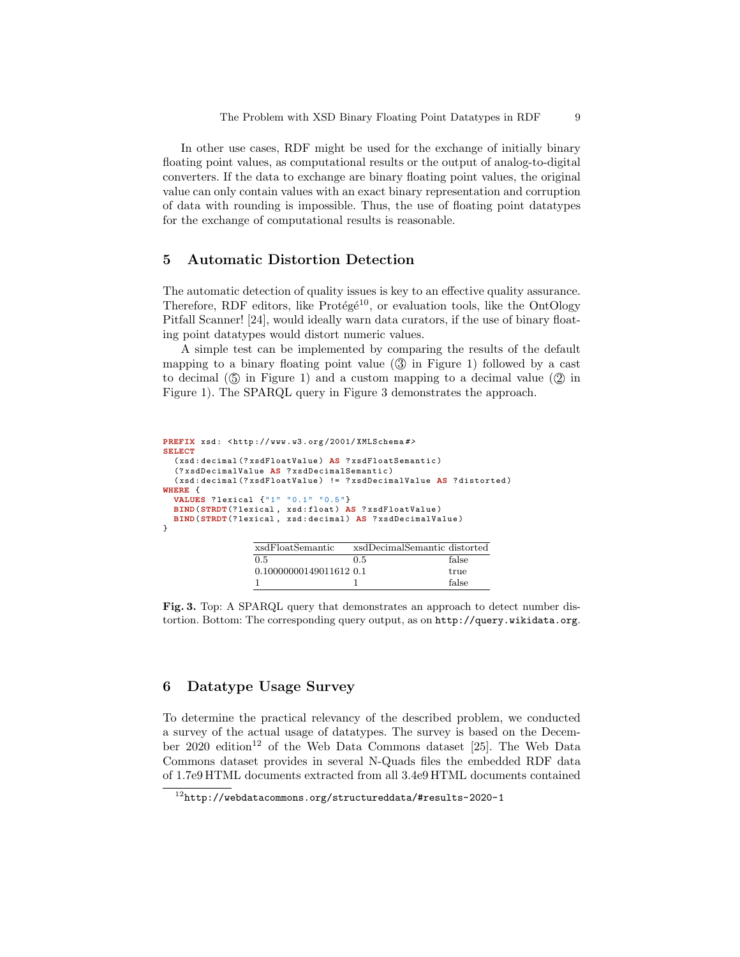In other use cases, RDF might be used for the exchange of initially binary floating point values, as computational results or the output of analog-to-digital converters. If the data to exchange are binary floating point values, the original value can only contain values with an exact binary representation and corruption of data with rounding is impossible. Thus, the use of floating point datatypes for the exchange of computational results is reasonable.

## <span id="page-8-0"></span>5 Automatic Distortion Detection

The automatic detection of quality issues is key to an effective quality assurance. Therefore, RDF editors, like Protégé<sup>[10](#page-0-0)</sup>, or evaluation tools, like the OntOlogy Pitfall Scanner! [\[24\]](#page-16-7), would ideally warn data curators, if the use of binary floating point datatypes would distort numeric values.

A simple test can be implemented by comparing the results of the default mapping to a binary floating point value  $(3)$  in [Figure 1\)](#page-4-1) followed by a cast to decimal  $(\mathbb{S})$  in [Figure 1\)](#page-4-1) and a custom mapping to a decimal value  $(\mathbb{S})$  in [Figure 1\)](#page-4-1). The SPARQL query in [Figure 3](#page-8-2) demonstrates the approach.

```
PREFIX xsd: <http://www.w3.org/2001/XMLSchema#>
SELECT
  ( xsd : decimal (? xsdFloatValue ) AS ? xsdFloatSemantic )
  (? xsdDecimalValue AS ? xsdDecimalSemantic )
  ( xsd : decimal (? xsdFloatValue ) != ? xsdDecimalValue AS ? distorted )
WHERE {
  VALUES ? lexical {"1" "0.1" "0.5"}
 BIND(STRDT(? lexical , xsd : float ) AS ? xsdFloatValue )
 BIND(STRDT(? lexical , xsd : decimal ) AS ? xsdDecimalValue )
}
                 xsdFloatSemantic xsdDecimalSemantic distorted
                 0.5 false
                 0.10000000149011612  0.1    true
```
<span id="page-8-2"></span>Fig. 3. Top: A SPARQL query that demonstrates an approach to detect number distortion. Bottom: The corresponding query output, as on [http://query.wikidata.org](https://query.wikidata.org/#PREFIX%20xsd%3A%20%3Chttp://www.w3.org/2001/XMLSchema%23%3E%0ASELECT%0A%20%20%28xsd%3Adecimal%28%3FxsdFloatValue%29%20AS%20%3FxsdFloatSemantic%29%0A%20%20%28%3FxsdDecimalValue%20AS%20%3FxsdDecimalSemantic%29%0A%20%20%28xsd%3Adecimal%28%3FxsdFloatValue%29%20%21%3D%20%3FxsdDecimalValue%20AS%20%3Fdistorted%29%0AWHERE%20%7B%0A%20%20VALUES%20%3Flexical%20%7B%221%22%20%220.1%22%20%220.5%22%7D%0A%20%20BIND%28STRDT%28%3Flexical%2C%20xsd%3Afloat%29%20AS%20%3FxsdFloatValue%29%0A%20%20BIND%28STRDT%28%3Flexical%2C%20xsd%3Adecimal%29%20AS%20%3FxsdDecimalValue%29%0A%7D).

 $1$  false

# <span id="page-8-1"></span>6 Datatype Usage Survey

To determine the practical relevancy of the described problem, we conducted a survey of the actual usage of datatypes. The survey is based on the Decem-ber 2020 edition<sup>[12](#page-0-0)</sup> of the Web Data Commons dataset [\[25\]](#page-16-8). The Web Data Commons dataset provides in several N-Quads files the embedded RDF data of 1.7e9 HTML documents extracted from all 3.4e9 HTML documents contained

 $12$ <http://webdatacommons.org/structureddata/#results-2020-1>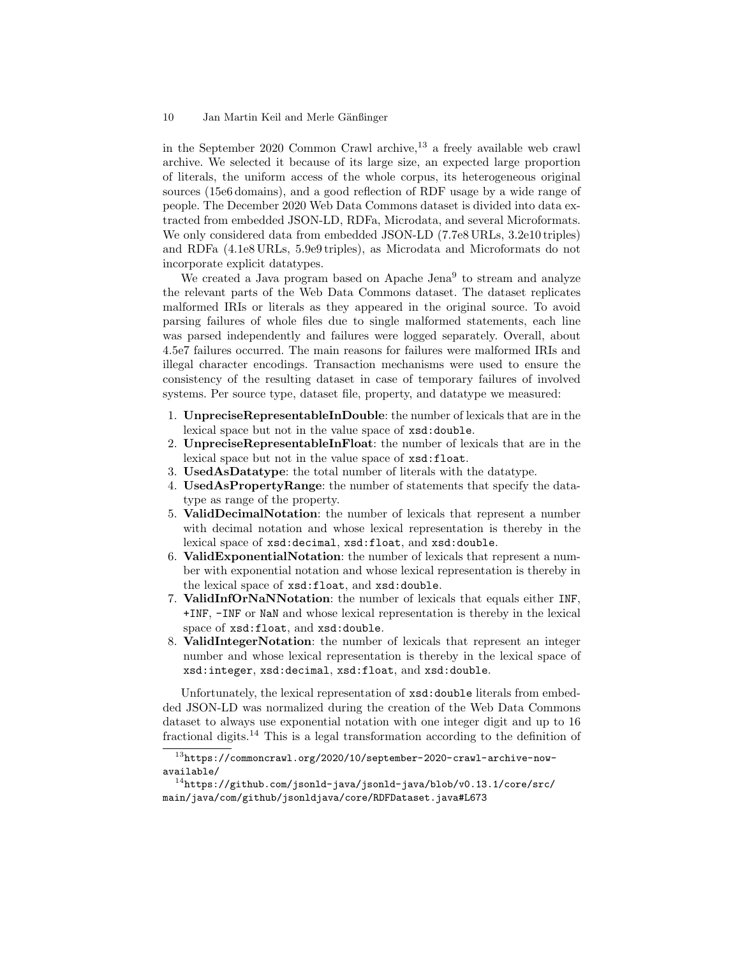in the September 2020 Common Crawl archive,[13](#page-0-0) a freely available web crawl archive. We selected it because of its large size, an expected large proportion of literals, the uniform access of the whole corpus, its heterogeneous original sources (15e6 domains), and a good reflection of RDF usage by a wide range of people. The December 2020 Web Data Commons dataset is divided into data extracted from embedded JSON-LD, RDFa, Microdata, and several Microformats. We only considered data from embedded JSON-LD (7.7e8 URLs, 3.2e10 triples) and RDFa (4.1e8 URLs, 5.9e9 triples), as Microdata and Microformats do not incorporate explicit datatypes.

We created a Java program based on Apache Jena<sup>[9](#page-0-0)</sup> to stream and analyze the relevant parts of the Web Data Commons dataset. The dataset replicates malformed IRIs or literals as they appeared in the original source. To avoid parsing failures of whole files due to single malformed statements, each line was parsed independently and failures were logged separately. Overall, about 4.5e7 failures occurred. The main reasons for failures were malformed IRIs and illegal character encodings. Transaction mechanisms were used to ensure the consistency of the resulting dataset in case of temporary failures of involved systems. Per source type, dataset file, property, and datatype we measured:

- <span id="page-9-2"></span>1. UnpreciseRepresentableInDouble: the number of lexicals that are in the lexical space but not in the value space of xsd:double.
- <span id="page-9-3"></span>2. UnpreciseRepresentableInFloat: the number of lexicals that are in the lexical space but not in the value space of xsd:float.
- <span id="page-9-0"></span>3. UsedAsDatatype: the total number of literals with the datatype.
- <span id="page-9-1"></span>4. UsedAsPropertyRange: the number of statements that specify the datatype as range of the property.
- <span id="page-9-4"></span>5. ValidDecimalNotation: the number of lexicals that represent a number with decimal notation and whose lexical representation is thereby in the lexical space of xsd:decimal, xsd:float, and xsd:double.
- <span id="page-9-5"></span>6. ValidExponentialNotation: the number of lexicals that represent a number with exponential notation and whose lexical representation is thereby in the lexical space of xsd:float, and xsd:double.
- <span id="page-9-6"></span>7. ValidInfOrNaNNotation: the number of lexicals that equals either INF, +INF, -INF or NaN and whose lexical representation is thereby in the lexical space of xsd:float, and xsd:double.
- <span id="page-9-7"></span>8. ValidIntegerNotation: the number of lexicals that represent an integer number and whose lexical representation is thereby in the lexical space of xsd:integer, xsd:decimal, xsd:float, and xsd:double.

Unfortunately, the lexical representation of xsd:double literals from embedded JSON-LD was normalized during the creation of the Web Data Commons dataset to always use exponential notation with one integer digit and up to 16 fractional digits.[14](#page-0-0) This is a legal transformation according to the definition of

 $13$ [https://commoncrawl.org/2020/10/september-2020-crawl-archive-now](https://commoncrawl.org/2020/10/september-2020-crawl-archive-now-available/)[available/](https://commoncrawl.org/2020/10/september-2020-crawl-archive-now-available/)

 $14$ [https://github.com/jsonld-java/jsonld-java/blob/v0.13.1/core/src/](https://github.com/jsonld-java/jsonld-java/blob/v0.13.1/core/src/main/java/com/github/jsonldjava/core/RDFDataset.java#L673) [main/java/com/github/jsonldjava/core/RDFDataset.java#L673](https://github.com/jsonld-java/jsonld-java/blob/v0.13.1/core/src/main/java/com/github/jsonldjava/core/RDFDataset.java#L673)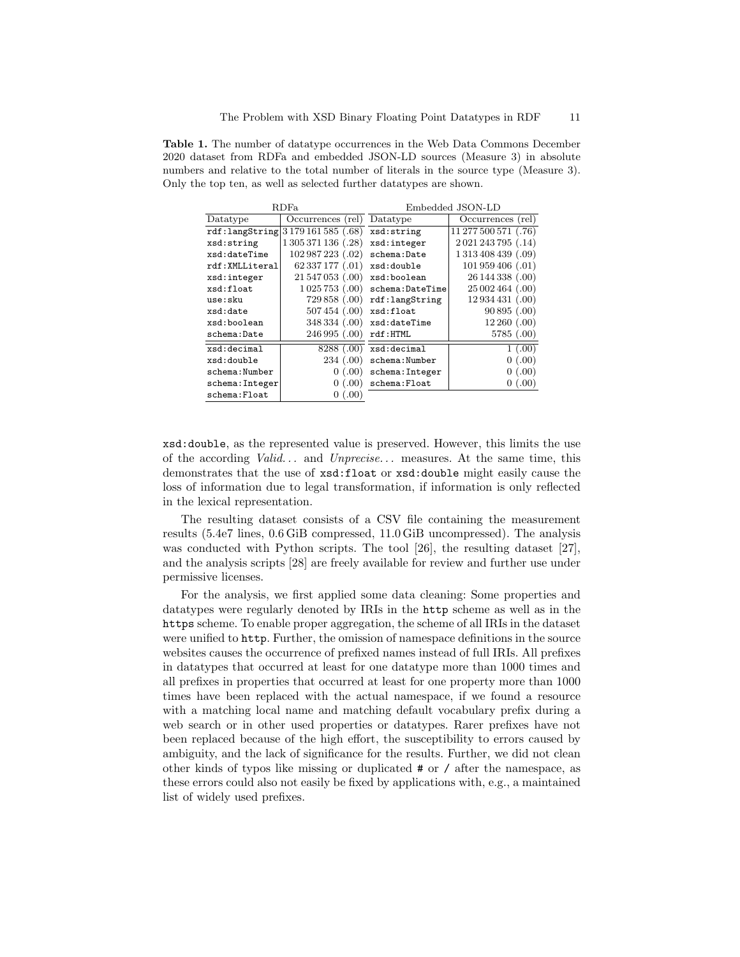<span id="page-10-0"></span>Table 1. The number of datatype occurrences in the Web Data Commons December 2020 dataset from RDFa and embedded JSON-LD sources (Measure [3\)](#page-9-0) in absolute numbers and relative to the total number of literals in the source type (Measure [3\)](#page-9-0). Only the top ten, as well as selected further datatypes are shown.

| $\rm RDFa$      |                     | Embedded JSON-LD |                      |  |  |
|-----------------|---------------------|------------------|----------------------|--|--|
| Datatype        | Occurrences (rel)   | Datatype         | Occurrences (rel)    |  |  |
| rdf:langString  | 3 179 161 585 (.68) | xsd:string       | 11 277 500 571 (.76) |  |  |
| xsd:string      | 1 305 371 136 (.28) | xsd: integer     | 2021243795 (.14)     |  |  |
| xsd:dateTime    | 102 987 223 (.02)   | schema:Date      | 1 313 408 439 (.09)  |  |  |
| rdf:XMLLiteral  | 62 337 177 (.01)    | xsd:double       | 101959406(.01)       |  |  |
| xsd:integer     | 21 547 053 (.00)    | xsd:boolean      | 26 144 338 (.00)     |  |  |
| xsd:float       | 1025753(.00)        | schema: DateTime | 25002464(.00)        |  |  |
| use:sku         | 729 858 (.00)       | rdf:langString   | 12 934 431 (.00)     |  |  |
| xsd:date        | 507454 (.00)        | xsd:float        | $90\,895(00)$        |  |  |
| xsd:boolean     | 348 334 (.00)       | xsd:dateTime     | $12\,260\,(.00)$     |  |  |
| schema:Date     | 246 995 (.00)       | rdf:HTML         | 5785 (.00)           |  |  |
| xsd:decimal     | 8288 (.00)          | xsd:decimal      | 1(.00)               |  |  |
| xsd:double      | 234 (.00)           | schema:Number    | (.00)<br>0           |  |  |
| schema:Number   | (.00)<br>0          | schema: Integer  | (.00)<br>0           |  |  |
| schema: Integer | (.00)<br>0          | schema:Float     | (.00)<br>0           |  |  |
| schema: Float   | (.00)<br>0          |                  |                      |  |  |

xsd:double, as the represented value is preserved. However, this limits the use of the according *Valid...* and *Unprecise...* measures. At the same time, this demonstrates that the use of xsd:float or xsd:double might easily cause the loss of information due to legal transformation, if information is only reflected in the lexical representation.

The resulting dataset consists of a CSV file containing the measurement results (5.4e7 lines, 0.6 GiB compressed, 11.0 GiB uncompressed). The analysis was conducted with Python scripts. The tool [\[26\]](#page-16-9), the resulting dataset [\[27\]](#page-16-10), and the analysis scripts [\[28\]](#page-16-11) are freely available for review and further use under permissive licenses.

For the analysis, we first applied some data cleaning: Some properties and datatypes were regularly denoted by IRIs in the http scheme as well as in the https scheme. To enable proper aggregation, the scheme of all IRIs in the dataset were unified to http. Further, the omission of namespace definitions in the source websites causes the occurrence of prefixed names instead of full IRIs. All prefixes in datatypes that occurred at least for one datatype more than 1000 times and all prefixes in properties that occurred at least for one property more than 1000 times have been replaced with the actual namespace, if we found a resource with a matching local name and matching default vocabulary prefix during a web search or in other used properties or datatypes. Rarer prefixes have not been replaced because of the high effort, the susceptibility to errors caused by ambiguity, and the lack of significance for the results. Further, we did not clean other kinds of typos like missing or duplicated # or / after the namespace, as these errors could also not easily be fixed by applications with, e.g., a maintained list of widely used prefixes.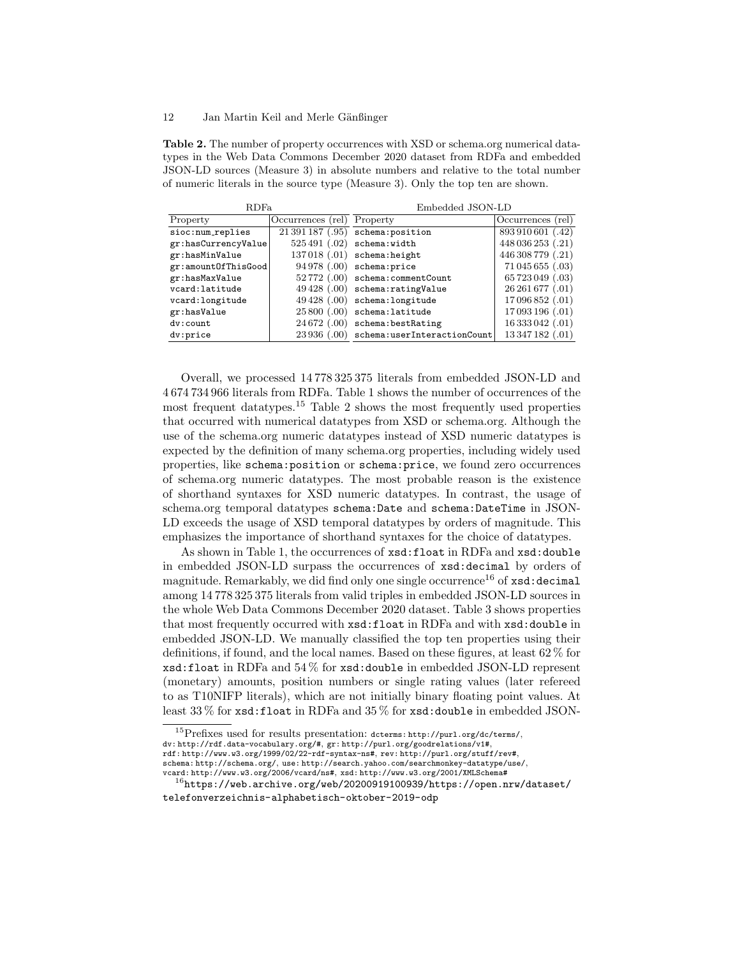<span id="page-11-0"></span>Table 2. The number of property occurrences with XSD or schema.org numerical datatypes in the Web Data Commons December 2020 dataset from RDFa and embedded JSON-LD sources (Measure [3\)](#page-9-0) in absolute numbers and relative to the total number of numeric literals in the source type (Measure [3\)](#page-9-0). Only the top ten are shown.

| RDF <sub>a</sub>    |                   | Embedded JSON-LD            |                       |  |  |
|---------------------|-------------------|-----------------------------|-----------------------|--|--|
| Property            | Occurrences (rel) | Property                    | Occurrences (rel)     |  |  |
| sioc:num_replies    | 21 391 187 (.95)  | schema: position            | 893910601 (.42)       |  |  |
| gr:hasCurrencyValue | 525491(.02)       | schema: width               | 448 036 253 (.21)     |  |  |
| gr:hasMinValue      | 137018 (.01)      | schema: height              | 446 308 779 (.21)     |  |  |
| gr:amountOfThisGood | 94 978 (.00)      | schema: price               | $71\,045\,655\;(.03)$ |  |  |
| gr:hasMaxValue      | 52 772 (.00)      | schema: commentCount        | 65 723 049 (.03)      |  |  |
| vcard: latitude     | 49428 (.00)       | schema:ratingValue          | 26 261 677 (.01)      |  |  |
| vcard: longitude    | 49428 (.00)       | schema: longitude           | 17 096 852 (.01)      |  |  |
| gr:hasValue         | 25800(.00)        | schema: latitude            | 17 093 196 (.01)      |  |  |
| dv:count            | 24 672 (.00)      | schema: bestRating          | 16 333 042 (.01)      |  |  |
| dv:price            | $23\,936$ $(.00)$ | schema:userInteractionCount | 13 347 182 (.01)      |  |  |

Overall, we processed 14 778 325 375 literals from embedded JSON-LD and 4 674 734 966 literals from RDFa. [Table 1](#page-10-0) shows the number of occurrences of the most frequent datatypes.[15](#page-0-0) [Table 2](#page-11-0) shows the most frequently used properties that occurred with numerical datatypes from XSD or schema.org. Although the use of the schema.org numeric datatypes instead of XSD numeric datatypes is expected by the definition of many schema.org properties, including widely used properties, like schema:position or schema:price, we found zero occurrences of schema.org numeric datatypes. The most probable reason is the existence of shorthand syntaxes for XSD numeric datatypes. In contrast, the usage of schema.org temporal datatypes schema:Date and schema:DateTime in JSON-LD exceeds the usage of XSD temporal datatypes by orders of magnitude. This emphasizes the importance of shorthand syntaxes for the choice of datatypes.

As shown in [Table 1,](#page-10-0) the occurrences of xsd:float in RDFa and xsd:double in embedded JSON-LD surpass the occurrences of xsd:decimal by orders of magnitude. Remarkably, we did find only one single occurrence<sup>[16](#page-0-0)</sup> of  $xsd:decimal$ among 14 778 325 375 literals from valid triples in embedded JSON-LD sources in the whole Web Data Commons December 2020 dataset. [Table 3](#page-12-0) shows properties that most frequently occurred with xsd:float in RDFa and with xsd:double in embedded JSON-LD. We manually classified the top ten properties using their definitions, if found, and the local names. Based on these figures, at least 62 % for xsd:float in RDFa and 54 % for xsd:double in embedded JSON-LD represent (monetary) amounts, position numbers or single rating values (later refereed to as T10NIFP literals), which are not initially binary floating point values. At least 33 % for xsd:float in RDFa and 35 % for xsd:double in embedded JSON-

 $^{15}\mathrm{Prefixes}$  used for results presentation:  $\texttt{determini}$  ,  $\texttt{http://purl.org/dc/terms/},$ dv: http://rdf.data-vocabulary.org/#, gr: http://purl.org/goodrelations/v1#, rdf: http://www.w3.org/1999/02/22-rdf-syntax-ns#, rev: http://purl.org/stuff/rev#,

schema: http://schema.org/, use: http://search.yahoo.com/searchmonkey-datatype/use/,

vcard: http://www.w3.org/2006/vcard/ns#, xsd: http://www.w3.org/2001/XMLSchema#

 $^{16}\mathrm{https://web.archive.org/web/20200919100939/http://open.nrw/dataset/}$ [telefonverzeichnis-alphabetisch-oktober-2019-odp](https://web.archive.org/web/20200919100939/https://open.nrw/dataset/telefonverzeichnis-alphabetisch-oktober-2019-odp)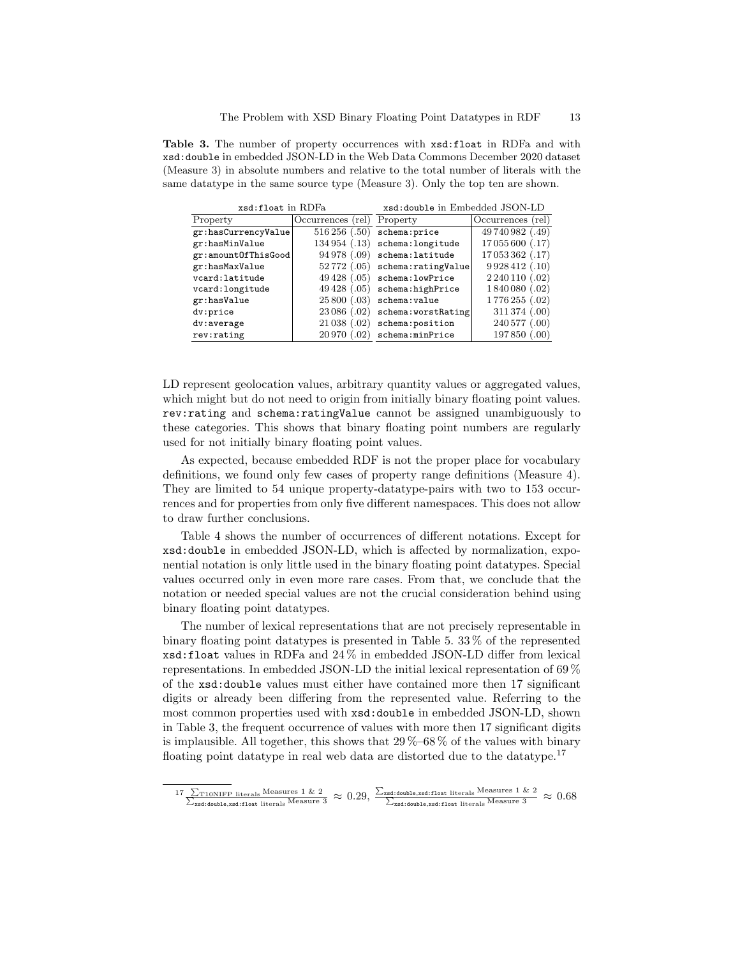<span id="page-12-0"></span>Table 3. The number of property occurrences with xsd:float in RDFa and with xsd:double in embedded JSON-LD in the Web Data Commons December 2020 dataset (Measure [3\)](#page-9-0) in absolute numbers and relative to the total number of literals with the same datatype in the same source type (Measure [3\)](#page-9-0). Only the top ten are shown.

| xsd:float in RDFa   |                   | xsd:double in Embedded JSON-LD    |                   |  |  |
|---------------------|-------------------|-----------------------------------|-------------------|--|--|
| Property            | Occurrences (rel) | Property                          | Occurrences (rel) |  |  |
| gr:hasCurrencyValue | 516 256 (.50)     | schema: price                     | 49 740 982 (.49)  |  |  |
| gr:hasMinValue      | 134954 (.13)      | schema: longitude                 | 17 055 600 (.17)  |  |  |
| gr:amountOfThisGood | 94 978 (.09)      | schema: latitude                  | 17053362 (.17)    |  |  |
| gr:hasMaxValue      |                   | $52772(.05)$ schema: rating Value | 9928412(.10)      |  |  |
| vcard: latitude     |                   | $49428(.05)$ schema: lowPrice     | 2 240 110 (.02)   |  |  |
| vcard: longitude    |                   | $49428(.05)$ schema:highPrice     | 1840080 (.02)     |  |  |
| gr:hasValue         | 25800(.03)        | schema: value                     | 1776255 (.02)     |  |  |
| dv:price            | 23 086 (.02)      | schema: worstRating               | 311 374 (.00)     |  |  |
| dv:average          | $21\,038\,(.02)$  | schema: position                  | 240 577 (.00)     |  |  |
| rev:rating          | 20 970 (.02)      | schema:minPrice                   | 197850 (.00)      |  |  |

LD represent geolocation values, arbitrary quantity values or aggregated values, which might but do not need to origin from initially binary floating point values. rev:rating and schema:ratingValue cannot be assigned unambiguously to these categories. This shows that binary floating point numbers are regularly used for not initially binary floating point values.

As expected, because embedded RDF is not the proper place for vocabulary definitions, we found only few cases of property range definitions (Measure [4\)](#page-9-1). They are limited to 54 unique property-datatype-pairs with two to 153 occurrences and for properties from only five different namespaces. This does not allow to draw further conclusions.

[Table 4](#page-13-1) shows the number of occurrences of different notations. Except for xsd:double in embedded JSON-LD, which is affected by normalization, exponential notation is only little used in the binary floating point datatypes. Special values occurred only in even more rare cases. From that, we conclude that the notation or needed special values are not the crucial consideration behind using binary floating point datatypes.

The number of lexical representations that are not precisely representable in binary floating point datatypes is presented in [Table 5.](#page-14-0) 33 % of the represented xsd:float values in RDFa and 24 % in embedded JSON-LD differ from lexical representations. In embedded JSON-LD the initial lexical representation of 69 % of the xsd:double values must either have contained more then 17 significant digits or already been differing from the represented value. Referring to the most common properties used with xsd:double in embedded JSON-LD, shown in [Table 3,](#page-12-0) the frequent occurrence of values with more then 17 significant digits is implausible. All together, this shows that  $29\% - 68\%$  of the values with binary floating point datatype in real web data are distorted due to the datatype.[17](#page-0-0)

 $\frac{17}{\sum_{\text{xsd:double,xsd:float}}$  Measures [1](#page-9-2) & [2](#page-9-3)  $\approx 0.29$ ,  $\frac{\sum_{\text{xsd:double,xsd:float}}$  literals Measure [3](#page-9-0)  $\approx 0.68$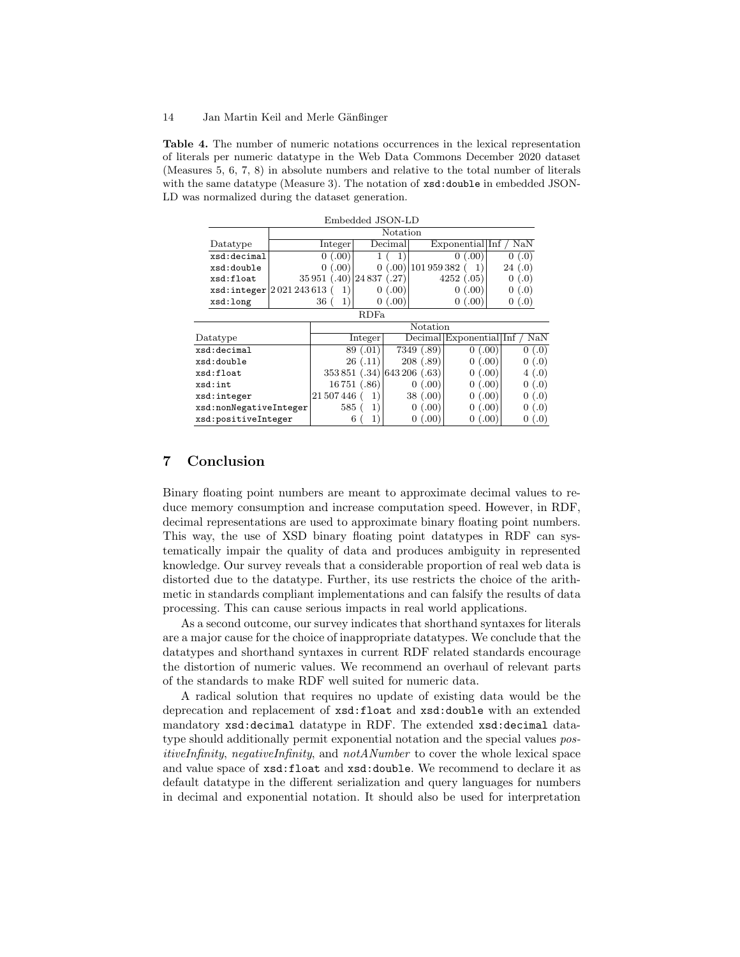<span id="page-13-1"></span>Table 4. The number of numeric notations occurrences in the lexical representation of literals per numeric datatype in the Web Data Commons December 2020 dataset (Measures [5,](#page-9-4) [6,](#page-9-5) [7,](#page-9-6) [8\)](#page-9-7) in absolute numbers and relative to the total number of literals with the same datatype (Measure [3\)](#page-9-0). The notation of  $xsd:double$  in embedded JSON-LD was normalized during the dataset generation.

| Embedded JSON-LD       |          |                         |             |         |                             |                                             |        |                         |      |
|------------------------|----------|-------------------------|-------------|---------|-----------------------------|---------------------------------------------|--------|-------------------------|------|
|                        |          | Notation                |             |         |                             |                                             |        |                         |      |
| Datatype               |          | Integer                 |             | Decimal |                             | Exponential Inf                             |        | NaN                     |      |
| xsd:decimal            |          | 0(.00)                  |             | 1)      |                             | 0(.00)                                      |        | (.0)<br>0               |      |
| xsd:double             |          | (.00)<br>$\overline{0}$ | 0           |         | $(0.00)$  101 959 382       | $1^{\circ}$                                 |        | 24 (.0)                 |      |
| xsd:float              |          | 35951(.40)              | 24837(.27)  |         |                             | 4252(.05)                                   |        | (.0)<br>0               |      |
| xsd:integer 2021243613 |          | 1                       | 0           | (0.00)  |                             | 0(.00)                                      |        | (.0)<br>0               |      |
| xsd:long               |          | $1^{\circ}$<br>36       |             | 0(.00)  |                             | 0(.00)                                      |        | (.0)                    |      |
| RDFa                   |          |                         |             |         |                             |                                             |        |                         |      |
|                        | Notation |                         |             |         |                             |                                             |        |                         |      |
| Datatype               |          |                         | Integer     |         |                             | $\overline{\text{Decimal}}$ Exponential Inf |        | $\overline{\text{NaN}}$ |      |
| xsd:decimal            |          |                         | 89 (.01)    |         | 7349 (.89)                  | 0                                           | (.00)  | 0(.0)                   |      |
| xsd:double             |          |                         | 26(.11)     |         | 208(.89)                    | 0                                           | (.00)  | 0                       | (0)  |
| xsd:float              |          |                         |             |         | 353 851 (.34) 643 206 (.63) |                                             | (0.00) | 4                       | (.0) |
| xsd:int                |          |                         | 16751 (.86) |         | 0(.00)                      | $\theta$                                    | (00)   | 0                       | (.0) |
| xsd:integer            |          | 21 507 446              | 1)          |         | 38(.00)                     | $\theta$                                    | (.00)  | 0                       | (.0) |
| xsd:nonNegativeInteger |          | 585                     | 1)          |         | 0(.00)                      | 0                                           | (.00)  | 0                       | (.0) |
| xsd:positiveInteger    |          |                         | 1)<br>6     |         | .00)<br>0                   | 0                                           | (00)   | 0                       | (.0) |

# <span id="page-13-0"></span>7 Conclusion

Binary floating point numbers are meant to approximate decimal values to reduce memory consumption and increase computation speed. However, in RDF, decimal representations are used to approximate binary floating point numbers. This way, the use of XSD binary floating point datatypes in RDF can systematically impair the quality of data and produces ambiguity in represented knowledge. Our survey reveals that a considerable proportion of real web data is distorted due to the datatype. Further, its use restricts the choice of the arithmetic in standards compliant implementations and can falsify the results of data processing. This can cause serious impacts in real world applications.

As a second outcome, our survey indicates that shorthand syntaxes for literals are a major cause for the choice of inappropriate datatypes. We conclude that the datatypes and shorthand syntaxes in current RDF related standards encourage the distortion of numeric values. We recommend an overhaul of relevant parts of the standards to make RDF well suited for numeric data.

A radical solution that requires no update of existing data would be the deprecation and replacement of xsd:float and xsd:double with an extended mandatory xsd:decimal datatype in RDF. The extended xsd:decimal datatype should additionally permit exponential notation and the special values positiveInfinity, negativeInfinity, and notANumber to cover the whole lexical space and value space of xsd:float and xsd:double. We recommend to declare it as default datatype in the different serialization and query languages for numbers in decimal and exponential notation. It should also be used for interpretation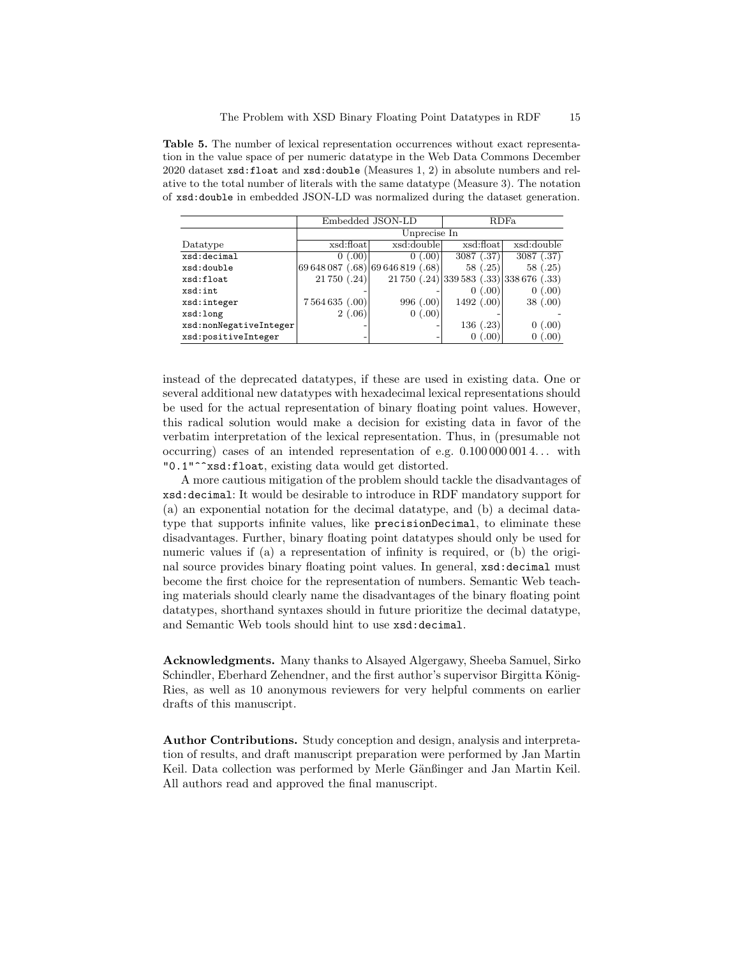<span id="page-14-0"></span>Table 5. The number of lexical representation occurrences without exact representation in the value space of per numeric datatype in the Web Data Commons December 2020 dataset xsd:float and xsd:double (Measures [1,](#page-9-2) [2\)](#page-9-3) in absolute numbers and relative to the total number of literals with the same datatype (Measure [3\)](#page-9-0). The notation of xsd:double in embedded JSON-LD was normalized during the dataset generation.

|                        |                     | Embedded JSON-LD            | RDFa                       |                 |  |  |  |
|------------------------|---------------------|-----------------------------|----------------------------|-----------------|--|--|--|
|                        | Unprecise In        |                             |                            |                 |  |  |  |
| Datatype               | xsd:float           | xsd:double                  | xsd:float                  | xsd:double      |  |  |  |
| xsd:decimal            | (.00)<br>0          | 0(.00)                      | .37<br>3087                | (.37)<br>3087   |  |  |  |
| xsd:double             | 69648087            | $(.68)$ 69 646 819<br>(.68) | $^{\prime}.25$<br>58       | (.25)<br>58     |  |  |  |
| xsd:float              | 21 750 (.24)        |                             | 21 750 (.24) 339 583 (.33) | 338676<br>(.33) |  |  |  |
| xsd:int                |                     |                             | 0.00                       | (.00)           |  |  |  |
| xsd:integer            | 7 5 6 4 6 3 5 (.00) | 996 (.00)                   | 1492 (.00)                 | 38<br>(.00)     |  |  |  |
| xsd:long               | 2(.06)              | (.00)<br>0                  |                            |                 |  |  |  |
| xsd:nonNegativeInteger |                     |                             | 136(.23)                   | (.00)           |  |  |  |
| xsd:positiveInteger    |                     |                             | 0.00                       | (.00)           |  |  |  |

instead of the deprecated datatypes, if these are used in existing data. One or several additional new datatypes with hexadecimal lexical representations should be used for the actual representation of binary floating point values. However, this radical solution would make a decision for existing data in favor of the verbatim interpretation of the lexical representation. Thus, in (presumable not occurring) cases of an intended representation of e.g.  $0.1000000014...$  with "0.1"^^xsd:float, existing data would get distorted.

A more cautious mitigation of the problem should tackle the disadvantages of xsd:decimal: It would be desirable to introduce in RDF mandatory support for (a) an exponential notation for the decimal datatype, and (b) a decimal datatype that supports infinite values, like precisionDecimal, to eliminate these disadvantages. Further, binary floating point datatypes should only be used for numeric values if (a) a representation of infinity is required, or (b) the original source provides binary floating point values. In general, xsd:decimal must become the first choice for the representation of numbers. Semantic Web teaching materials should clearly name the disadvantages of the binary floating point datatypes, shorthand syntaxes should in future prioritize the decimal datatype, and Semantic Web tools should hint to use xsd:decimal.

Acknowledgments. Many thanks to Alsayed Algergawy, Sheeba Samuel, Sirko Schindler, Eberhard Zehendner, and the first author's supervisor Birgitta König-Ries, as well as 10 anonymous reviewers for very helpful comments on earlier drafts of this manuscript.

Author Contributions. Study conception and design, analysis and interpretation of results, and draft manuscript preparation were performed by Jan Martin Keil. Data collection was performed by Merle Gänßinger and Jan Martin Keil. All authors read and approved the final manuscript.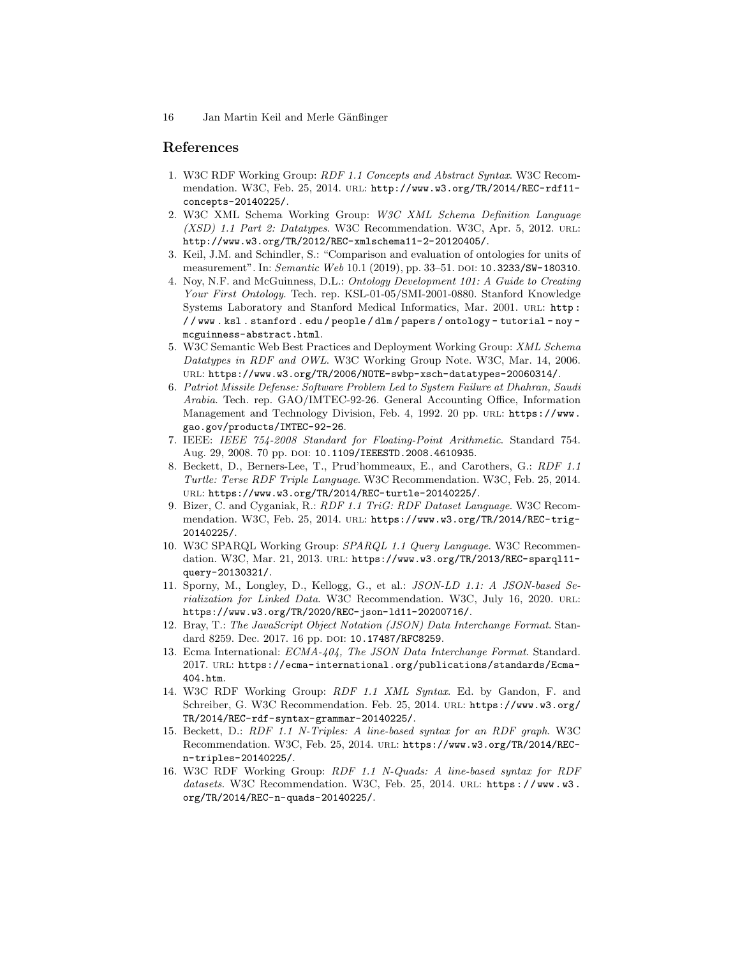## References

- <span id="page-15-0"></span>1. W3C RDF Working Group: RDF 1.1 Concepts and Abstract Syntax. W3C Recommendation. W3C, Feb. 25, 2014. url: [http://www.w3.org/TR/2014/REC-rdf11](http://www.w3.org/TR/2014/REC-rdf11-concepts-20140225/) [concepts-20140225/](http://www.w3.org/TR/2014/REC-rdf11-concepts-20140225/).
- <span id="page-15-1"></span>2. W3C XML Schema Working Group: W3C XML Schema Definition Language (XSD) 1.1 Part 2: Datatypes. W3C Recommendation. W3C, Apr. 5, 2012. url: <http://www.w3.org/TR/2012/REC-xmlschema11-2-20120405/>.
- <span id="page-15-2"></span>3. Keil, J.M. and Schindler, S.: "Comparison and evaluation of ontologies for units of measurement". In: Semantic Web 10.1 (2019), pp. 33–51. DOI: [10.3233/SW-180310](https://doi.org/10.3233/SW-180310).
- <span id="page-15-3"></span>4. Noy, N.F. and McGuinness, D.L.: Ontology Development 101: A Guide to Creating Your First Ontology. Tech. rep. KSL-01-05/SMI-2001-0880. Stanford Knowledge Systems Laboratory and Stanford Medical Informatics, Mar. 2001. url: [http :](http://www.ksl.stanford.edu/people/dlm/papers/ontology-tutorial-noy-mcguinness-abstract.html) [/ / www . ksl . stanford . edu / people / dlm / papers / ontology - tutorial - noy](http://www.ksl.stanford.edu/people/dlm/papers/ontology-tutorial-noy-mcguinness-abstract.html)  [mcguinness-abstract.html](http://www.ksl.stanford.edu/people/dlm/papers/ontology-tutorial-noy-mcguinness-abstract.html).
- <span id="page-15-4"></span>5. W3C Semantic Web Best Practices and Deployment Working Group: XML Schema Datatypes in RDF and OWL. W3C Working Group Note. W3C, Mar. 14, 2006. url: <https://www.w3.org/TR/2006/NOTE-swbp-xsch-datatypes-20060314/>.
- <span id="page-15-5"></span>6. Patriot Missile Defense: Software Problem Led to System Failure at Dhahran, Saudi Arabia. Tech. rep. GAO/IMTEC-92-26. General Accounting Office, Information Management and Technology Division, Feb. 4, 1992. 20 pp. URL: [https://www.](https://www.gao.gov/products/IMTEC-92-26) [gao.gov/products/IMTEC-92-26](https://www.gao.gov/products/IMTEC-92-26).
- <span id="page-15-6"></span>7. IEEE: IEEE 754-2008 Standard for Floating-Point Arithmetic. Standard 754. Aug. 29, 2008. 70 pp. doi: [10.1109/IEEESTD.2008.4610935](https://doi.org/10.1109/IEEESTD.2008.4610935).
- <span id="page-15-7"></span>8. Beckett, D., Berners-Lee, T., Prud'hommeaux, E., and Carothers, G.: RDF 1.1 Turtle: Terse RDF Triple Language. W3C Recommendation. W3C, Feb. 25, 2014. url: <https://www.w3.org/TR/2014/REC-turtle-20140225/>.
- <span id="page-15-8"></span>9. Bizer, C. and Cyganiak, R.: RDF 1.1 TriG: RDF Dataset Language. W3C Recommendation. W3C, Feb. 25, 2014. url: [https://www.w3.org/TR/2014/REC-trig-](https://www.w3.org/TR/2014/REC-trig-20140225/)[20140225/](https://www.w3.org/TR/2014/REC-trig-20140225/).
- <span id="page-15-9"></span>10. W3C SPARQL Working Group: SPARQL 1.1 Query Language. W3C Recommendation. W3C, Mar. 21, 2013. url: [https://www.w3.org/TR/2013/REC-sparql11](https://www.w3.org/TR/2013/REC-sparql11-query-20130321/) [query-20130321/](https://www.w3.org/TR/2013/REC-sparql11-query-20130321/).
- <span id="page-15-10"></span>11. Sporny, M., Longley, D., Kellogg, G., et al.: JSON-LD 1.1: A JSON-based Serialization for Linked Data. W3C Recommendation. W3C, July 16, 2020. URL: <https://www.w3.org/TR/2020/REC-json-ld11-20200716/>.
- <span id="page-15-11"></span>12. Bray, T.: The JavaScript Object Notation (JSON) Data Interchange Format. Stan-dard 8259. Dec. 2017. 16 pp. DOI: [10.17487/RFC8259](https://doi.org/10.17487/RFC8259).
- <span id="page-15-12"></span>13. Ecma International: ECMA-404, The JSON Data Interchange Format. Standard. 2017. url: [https://ecma-international.org/publications/standards/Ecma-](https://ecma-international.org/publications/standards/Ecma-404.htm)[404.htm](https://ecma-international.org/publications/standards/Ecma-404.htm).
- <span id="page-15-13"></span>14. W3C RDF Working Group: RDF 1.1 XML Syntax. Ed. by Gandon, F. and Schreiber, G. W3C Recommendation. Feb. 25, 2014. URL: [https://www.w3.org/](https://www.w3.org/TR/2014/REC-rdf-syntax-grammar-20140225/) [TR/2014/REC-rdf-syntax-grammar-20140225/](https://www.w3.org/TR/2014/REC-rdf-syntax-grammar-20140225/).
- <span id="page-15-14"></span>15. Beckett, D.: RDF 1.1 N-Triples: A line-based syntax for an RDF graph. W3C Recommendation. W3C, Feb. 25, 2014. url: [https://www.w3.org/TR/2014/REC](https://www.w3.org/TR/2014/REC-n-triples-20140225/)[n-triples-20140225/](https://www.w3.org/TR/2014/REC-n-triples-20140225/).
- <span id="page-15-15"></span>16. W3C RDF Working Group: RDF 1.1 N-Quads: A line-based syntax for RDF datasets. W3C Recommendation. W3C, Feb. 25, 2014. URL: https://www.w3. [org/TR/2014/REC-n-quads-20140225/](https://www.w3.org/TR/2014/REC-n-quads-20140225/).